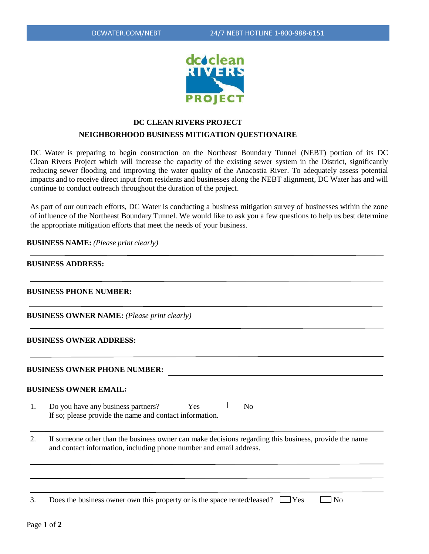

# **DC CLEAN RIVERS PROJECT NEIGHBORHOOD BUSINESS MITIGATION QUESTIONAIRE**

DC Water is preparing to begin construction on the Northeast Boundary Tunnel (NEBT) portion of its DC Clean Rivers Project which will increase the capacity of the existing sewer system in the District, significantly reducing sewer flooding and improving the water quality of the Anacostia River. To adequately assess potential impacts and to receive direct input from residents and businesses along the NEBT alignment, DC Water has and will continue to conduct outreach throughout the duration of the project.

As part of our outreach efforts, DC Water is conducting a business mitigation survey of businesses within the zone of influence of the Northeast Boundary Tunnel. We would like to ask you a few questions to help us best determine the appropriate mitigation efforts that meet the needs of your business.

**BUSINESS NAME:** *(Please print clearly)*

## **BUSINESS ADDRESS:**

#### **BUSINESS PHONE NUMBER:**

**BUSINESS OWNER NAME:** *(Please print clearly)*

#### **BUSINESS OWNER ADDRESS:**

**BUSINESS OWNER PHONE NUMBER:**

### **BUSINESS OWNER EMAIL:**

| $\Box$ Yes<br>Do you have any business partners?        | $\Box$ No |
|---------------------------------------------------------|-----------|
| If so; please provide the name and contact information. |           |

2. If someone other than the business owner can make decisions regarding this business, provide the name and contact information, including phone number and email address.

3. Does the business owner own this property or is the space rented/leased?  $\Box$  Yes  $\Box$  No